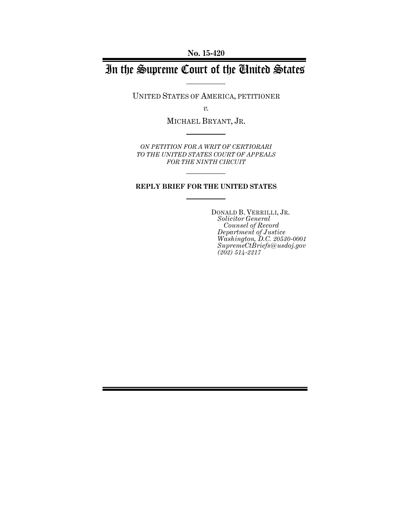**No. 15-420**

# In the Supreme Court of the United States

UNITED STATES OF AMERICA, PETITIONER

*v.*

MICHAEL BRYANT, JR.

*ON PETITION FOR A WRIT OF CERTIORARI TO THE UNITED STATES COURT OF APPEALS FOR THE NINTH CIRCUIT*

### **REPLY BRIEF FOR THE UNITED STATES**

DONALD B. VERRILLI, JR. *Solicitor General Counsel of Record Department of Justice Washington, D.C. 20530-0001 SupremeCtBriefs@usdoj.gov (202) 514-2217*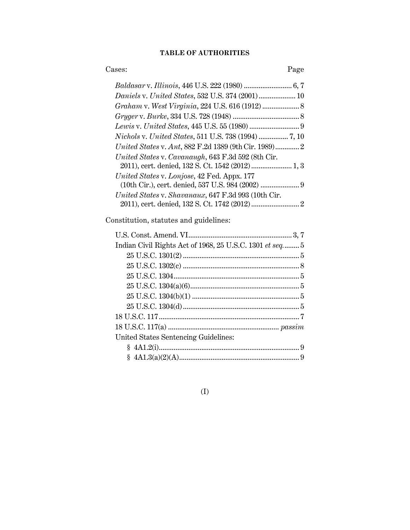### **TABLE OF AUTHORITIES**

### Cases: Page

| Daniels v. United States, 532 U.S. 374 (2001) 10                                                 |  |
|--------------------------------------------------------------------------------------------------|--|
|                                                                                                  |  |
|                                                                                                  |  |
|                                                                                                  |  |
|                                                                                                  |  |
| United States v. Ant, 882 F.2d 1389 (9th Cir. 1989) 2                                            |  |
| United States v. Cavanaugh, 643 F.3d 592 (8th Cir.                                               |  |
| United States v. Lonjose, 42 Fed. Appx. 177<br>(10th Cir.), cert. denied, 537 U.S. 984 (2002)  9 |  |
| United States v. Shavanaux, 647 F.3d 993 (10th Cir.                                              |  |

Constitution, statutes and guidelines:

| Indian Civil Rights Act of 1968, 25 U.S.C. 1301 et seq 5 |  |
|----------------------------------------------------------|--|
|                                                          |  |
|                                                          |  |
|                                                          |  |
|                                                          |  |
|                                                          |  |
|                                                          |  |
|                                                          |  |
|                                                          |  |
| United States Sentencing Guidelines:                     |  |
|                                                          |  |
|                                                          |  |

(I)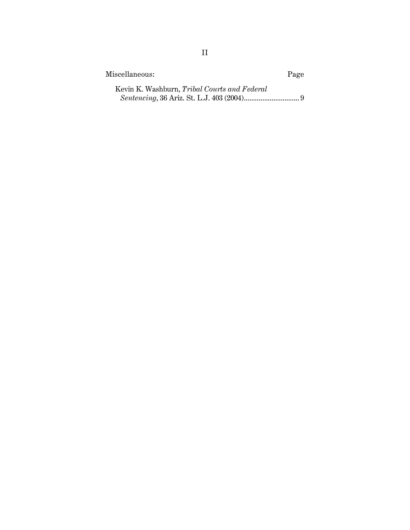| Miscellaneous:                               | Page |
|----------------------------------------------|------|
| Kevin K. Washburn, Tribal Courts and Federal |      |
|                                              |      |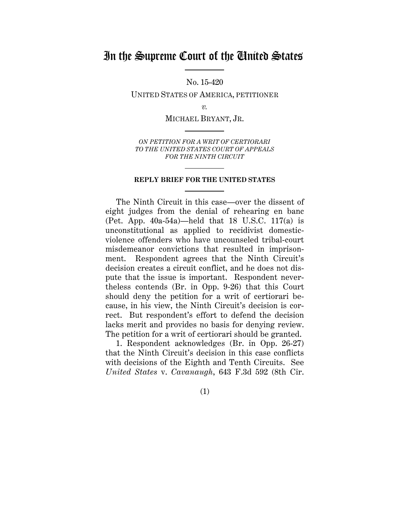## In the Supreme Court of the United States

No. 15-420

UNITED STATES OF AMERICA, PETITIONER

*v.*

MICHAEL BRYANT, JR.

*ON PETITION FOR A WRIT OF CERTIORARI TO THE UNITED STATES COURT OF APPEALS FOR THE NINTH CIRCUIT*

#### **REPLY BRIEF FOR THE UNITED STATES**

The Ninth Circuit in this case—over the dissent of eight judges from the denial of rehearing en banc (Pet. App. 40a-54a)—held that 18 U.S.C. 117(a) is unconstitutional as applied to recidivist domesticviolence offenders who have uncounseled tribal-court misdemeanor convictions that resulted in imprisonment. Respondent agrees that the Ninth Circuit's decision creates a circuit conflict, and he does not dispute that the issue is important. Respondent nevertheless contends (Br. in Opp. 9-26) that this Court should deny the petition for a writ of certiorari because, in his view, the Ninth Circuit's decision is correct. But respondent's effort to defend the decision lacks merit and provides no basis for denying review. The petition for a writ of certiorari should be granted.

1. Respondent acknowledges (Br. in Opp. 26-27) that the Ninth Circuit's decision in this case conflicts with decisions of the Eighth and Tenth Circuits. See *United States* v. *Cavanaugh*, 643 F.3d 592 (8th Cir.

(1)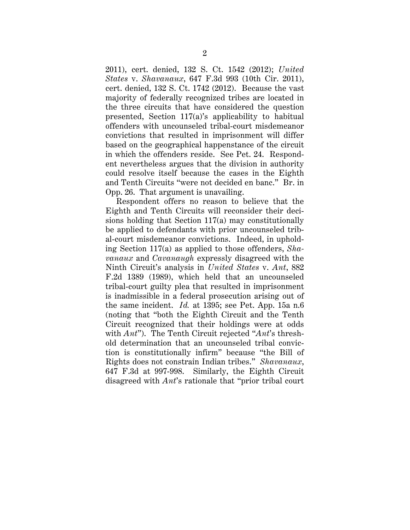2011), cert. denied, 132 S. Ct. 1542 (2012); *United States* v. *Shavanaux*, 647 F.3d 993 (10th Cir. 2011), cert. denied, 132 S. Ct. 1742 (2012). Because the vast majority of federally recognized tribes are located in the three circuits that have considered the question presented, Section 117(a)'s applicability to habitual offenders with uncounseled tribal-court misdemeanor convictions that resulted in imprisonment will differ based on the geographical happenstance of the circuit in which the offenders reside. See Pet. 24. Respondent nevertheless argues that the division in authority could resolve itself because the cases in the Eighth and Tenth Circuits "were not decided en banc." Br. in Opp. 26. That argument is unavailing.

Respondent offers no reason to believe that the Eighth and Tenth Circuits will reconsider their decisions holding that Section 117(a) may constitutionally be applied to defendants with prior uncounseled tribal-court misdemeanor convictions. Indeed, in upholding Section 117(a) as applied to those offenders, *Shavanaux* and *Cavanaugh* expressly disagreed with the Ninth Circuit's analysis in *United States* v. *Ant*, 882 F.2d 1389 (1989), which held that an uncounseled tribal-court guilty plea that resulted in imprisonment is inadmissible in a federal prosecution arising out of the same incident. *Id.* at 1395; see Pet. App. 15a n.6 (noting that "both the Eighth Circuit and the Tenth Circuit recognized that their holdings were at odds with *Ant*"). The Tenth Circuit rejected "*Ant*'s threshold determination that an uncounseled tribal conviction is constitutionally infirm" because "the Bill of Rights does not constrain Indian tribes." *Shavanaux*, 647 F.3d at 997-998. Similarly, the Eighth Circuit disagreed with *Ant*'s rationale that "prior tribal court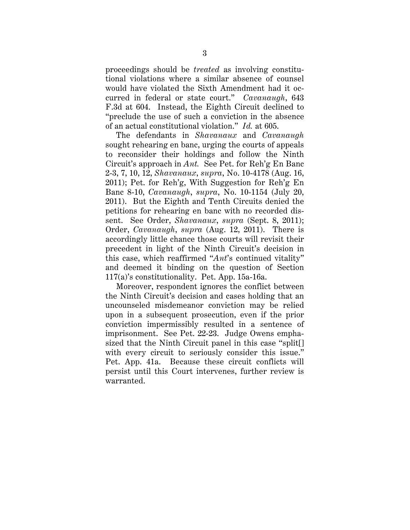proceedings should be *treated* as involving constitutional violations where a similar absence of counsel would have violated the Sixth Amendment had it occurred in federal or state court." *Cavanaugh*, 643 F.3d at 604. Instead, the Eighth Circuit declined to "preclude the use of such a conviction in the absence of an actual constitutional violation." *Id.* at 605.

The defendants in *Shavanaux* and *Cavanaugh* sought rehearing en banc, urging the courts of appeals to reconsider their holdings and follow the Ninth Circuit's approach in *Ant.* See Pet. for Reh'g En Banc 2-3, 7, 10, 12, *Shavanaux*, *supra*, No. 10-4178 (Aug. 16, 2011); Pet. for Reh'g, With Suggestion for Reh'g En Banc 8-10, *Cavanaugh*, *supra*, No. 10-1154 (July 20, 2011). But the Eighth and Tenth Circuits denied the petitions for rehearing en banc with no recorded dissent. See Order, *Shavanaux*, *supra* (Sept. 8, 2011); Order, *Cavanaugh*, *supra* (Aug. 12, 2011). There is accordingly little chance those courts will revisit their precedent in light of the Ninth Circuit's decision in this case, which reaffirmed "*Ant*'s continued vitality" and deemed it binding on the question of Section 117(a)'s constitutionality. Pet. App. 15a-16a.

Moreover, respondent ignores the conflict between the Ninth Circuit's decision and cases holding that an uncounseled misdemeanor conviction may be relied upon in a subsequent prosecution, even if the prior conviction impermissibly resulted in a sentence of imprisonment. See Pet. 22-23. Judge Owens emphasized that the Ninth Circuit panel in this case "split[] with every circuit to seriously consider this issue." Pet. App. 41a. Because these circuit conflicts will persist until this Court intervenes, further review is warranted.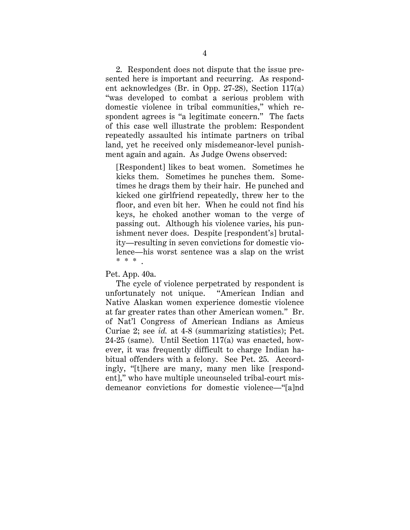2. Respondent does not dispute that the issue presented here is important and recurring. As respondent acknowledges (Br. in Opp. 27-28), Section 117(a) "was developed to combat a serious problem with domestic violence in tribal communities," which respondent agrees is "a legitimate concern." The facts of this case well illustrate the problem: Respondent repeatedly assaulted his intimate partners on tribal land, yet he received only misdemeanor-level punishment again and again. As Judge Owens observed:

[Respondent] likes to beat women. Sometimes he kicks them. Sometimes he punches them. Sometimes he drags them by their hair. He punched and kicked one girlfriend repeatedly, threw her to the floor, and even bit her. When he could not find his keys, he choked another woman to the verge of passing out. Although his violence varies, his punishment never does. Despite [respondent's] brutality—resulting in seven convictions for domestic violence—his worst sentence was a slap on the wrist \* \* \* .

Pet. App. 40a.

The cycle of violence perpetrated by respondent is unfortunately not unique. "American Indian and Native Alaskan women experience domestic violence at far greater rates than other American women." Br. of Nat'l Congress of American Indians as Amicus Curiae 2; see *id.* at 4-8 (summarizing statistics); Pet.  $24-25$  (same). Until Section 117(a) was enacted, however, it was frequently difficult to charge Indian habitual offenders with a felony. See Pet. 25. Accordingly, "[t]here are many, many men like [respondent]," who have multiple uncounseled tribal-court misdemeanor convictions for domestic violence—"[a]nd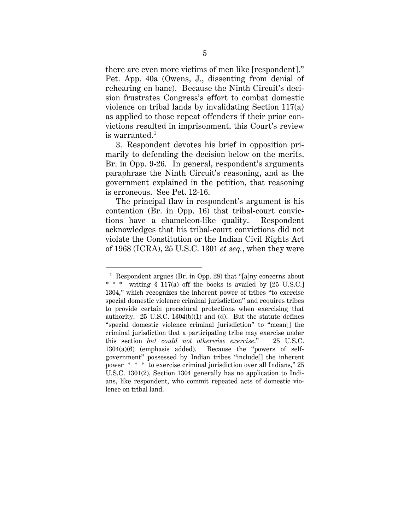there are even more victims of men like [respondent]." Pet. App. 40a (Owens, J., dissenting from denial of rehearing en banc). Because the Ninth Circuit's decision frustrates Congress's effort to combat domestic violence on tribal lands by invalidating Section 117(a) as applied to those repeat offenders if their prior convictions resulted in imprisonment, this Court's review is warranted. $^{\rm 1}$ 

3. Respondent devotes his brief in opposition primarily to defending the decision below on the merits. Br. in Opp. 9-26. In general, respondent's arguments paraphrase the Ninth Circuit's reasoning, and as the government explained in the petition, that reasoning is erroneous. See Pet. 12-16.

The principal flaw in respondent's argument is his contention (Br. in Opp. 16) that tribal-court convictions have a chameleon-like quality. Respondent acknowledges that his tribal-court convictions did not violate the Constitution or the Indian Civil Rights Act of 1968 (ICRA), 25 U.S.C. 1301 *et seq.*, when they were

<sup>&</sup>lt;sup>1</sup> Respondent argues (Br. in Opp. 28) that "[a]ny concerns about \* \* \* writing § 117(a) off the books is availed by [25 U.S.C.] 1304," which recognizes the inherent power of tribes "to exercise special domestic violence criminal jurisdiction" and requires tribes to provide certain procedural protections when exercising that authority. 25 U.S.C. 1304(b)(1) and (d). But the statute defines "special domestic violence criminal jurisdiction" to "mean[] the criminal jurisdiction that a participating tribe may exercise under this section *but could not otherwise exercise*." 25 U.S.C. 1304(a)(6) (emphasis added). Because the "powers of selfgovernment" possessed by Indian tribes "include[] the inherent power \* \* \* to exercise criminal jurisdiction over all Indians," 25 U.S.C. 1301(2), Section 1304 generally has no application to Indians, like respondent, who commit repeated acts of domestic violence on tribal land.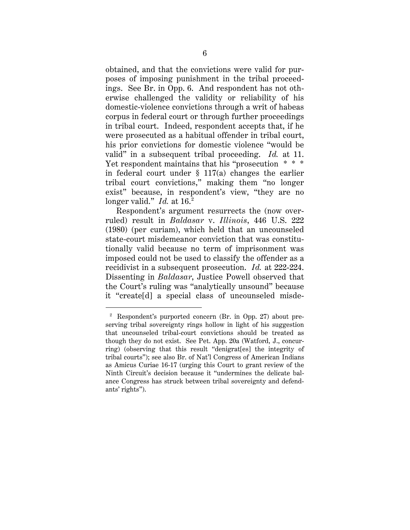obtained, and that the convictions were valid for purposes of imposing punishment in the tribal proceedings. See Br. in Opp. 6. And respondent has not otherwise challenged the validity or reliability of his domestic-violence convictions through a writ of habeas corpus in federal court or through further proceedings in tribal court. Indeed, respondent accepts that, if he were prosecuted as a habitual offender in tribal court, his prior convictions for domestic violence "would be valid" in a subsequent tribal proceeding. *Id.* at 11. Yet respondent maintains that his "prosecution \* \* \* in federal court under  $\S$  117(a) changes the earlier tribal court convictions," making them "no longer exist" because, in respondent's view, "they are no longer valid." *Id.* at 16.<sup>2</sup>

Respondent's argument resurrects the (now overruled) result in *Baldasar* v. *Illinois*, 446 U.S. 222 (1980) (per curiam), which held that an uncounseled state-court misdemeanor conviction that was constitutionally valid because no term of imprisonment was imposed could not be used to classify the offender as a recidivist in a subsequent prosecution. *Id.* at 222-224. Dissenting in *Baldasar*, Justice Powell observed that the Court's ruling was "analytically unsound" because it "create[d] a special class of uncounseled misde-

 <sup>2</sup> Respondent's purported concern (Br. in Opp. 27) about preserving tribal sovereignty rings hollow in light of his suggestion that uncounseled tribal-court convictions should be treated as though they do not exist. See Pet. App. 20a (Watford, J., concurring) (observing that this result "denigrat[es] the integrity of tribal courts"); see also Br. of Nat'l Congress of American Indians as Amicus Curiae 16-17 (urging this Court to grant review of the Ninth Circuit's decision because it "undermines the delicate balance Congress has struck between tribal sovereignty and defendants' rights").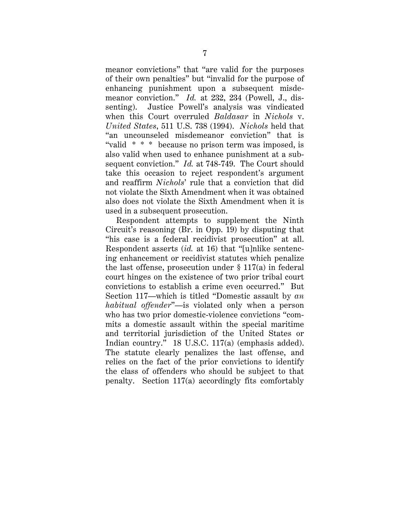meanor convictions" that "are valid for the purposes of their own penalties" but "invalid for the purpose of enhancing punishment upon a subsequent misdemeanor conviction." *Id.* at 232, 234 (Powell, J., dissenting). Justice Powell's analysis was vindicated when this Court overruled *Baldasar* in *Nichols* v. *United States*, 511 U.S. 738 (1994). *Nichols* held that "an uncounseled misdemeanor conviction" that is "valid \* \* \* because no prison term was imposed, is also valid when used to enhance punishment at a subsequent conviction." *Id.* at 748-749. The Court should take this occasion to reject respondent's argument and reaffirm *Nichols*' rule that a conviction that did not violate the Sixth Amendment when it was obtained also does not violate the Sixth Amendment when it is used in a subsequent prosecution.

Respondent attempts to supplement the Ninth Circuit's reasoning (Br. in Opp. 19) by disputing that "his case is a federal recidivist prosecution" at all. Respondent asserts (*id.* at 16) that "[u]nlike sentencing enhancement or recidivist statutes which penalize the last offense, prosecution under  $\S 117(a)$  in federal court hinges on the existence of two prior tribal court convictions to establish a crime even occurred." But Section 117—which is titled "Domestic assault by *an habitual offender*"—is violated only when a person who has two prior domestic-violence convictions "commits a domestic assault within the special maritime and territorial jurisdiction of the United States or Indian country." 18 U.S.C. 117(a) (emphasis added). The statute clearly penalizes the last offense, and relies on the fact of the prior convictions to identify the class of offenders who should be subject to that penalty. Section 117(a) accordingly fits comfortably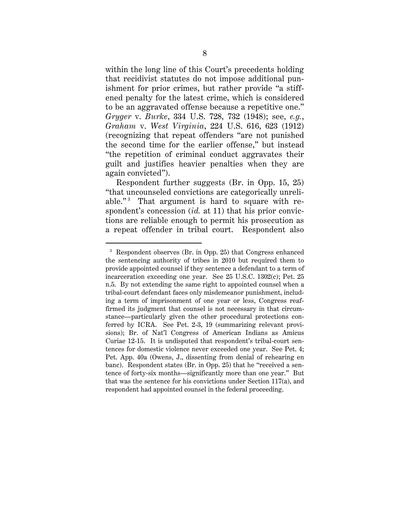within the long line of this Court's precedents holding that recidivist statutes do not impose additional punishment for prior crimes, but rather provide "a stiffened penalty for the latest crime, which is considered to be an aggravated offense because a repetitive one." *Gryger* v. *Burke*, 334 U.S. 728, 732 (1948); see, *e.g.*, *Graham* v. *West Virginia*, 224 U.S. 616, 623 (1912) (recognizing that repeat offenders "are not punished the second time for the earlier offense," but instead "the repetition of criminal conduct aggravates their guilt and justifies heavier penalties when they are again convicted").

Respondent further suggests (Br. in Opp. 15, 25) "that uncounseled convictions are categorically unreliable." $3$  That argument is hard to square with respondent's concession (*id.* at 11) that his prior convictions are reliable enough to permit his prosecution as a repeat offender in tribal court. Respondent also

 <sup>3</sup> Respondent observes (Br. in Opp. 25) that Congress enhanced the sentencing authority of tribes in 2010 but required them to provide appointed counsel if they sentence a defendant to a term of incarceration exceeding one year. See 25 U.S.C. 1302(c); Pet. 25 n.5. By not extending the same right to appointed counsel when a tribal-court defendant faces only misdemeanor punishment, including a term of imprisonment of one year or less, Congress reaffirmed its judgment that counsel is not necessary in that circumstance—particularly given the other procedural protections conferred by ICRA. See Pet. 2-3, 19 (summarizing relevant provisions); Br. of Nat'l Congress of American Indians as Amicus Curiae 12-15. It is undisputed that respondent's tribal-court sentences for domestic violence never exceeded one year. See Pet. 4; Pet. App. 40a (Owens, J., dissenting from denial of rehearing en banc). Respondent states (Br. in Opp. 25) that he "received a sentence of forty-six months—significantly more than one year." But that was the sentence for his convictions under Section 117(a), and respondent had appointed counsel in the federal proceeding.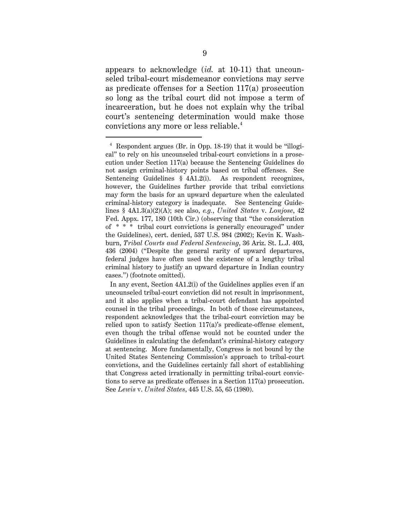appears to acknowledge (*id.* at 10-11) that uncounseled tribal-court misdemeanor convictions may serve as predicate offenses for a Section 117(a) prosecution so long as the tribal court did not impose a term of incarceration, but he does not explain why the tribal court's sentencing determination would make those convictions any more or less reliable.4

 <sup>4</sup> Respondent argues (Br. in Opp. 18-19) that it would be "illogical" to rely on his uncounseled tribal-court convictions in a prosecution under Section 117(a) because the Sentencing Guidelines do not assign criminal-history points based on tribal offenses. See Sentencing Guidelines § 4A1.2(i). As respondent recognizes, however, the Guidelines further provide that tribal convictions may form the basis for an upward departure when the calculated criminal-history category is inadequate. See Sentencing Guidelines § 4A1.3(a)(2)(A); see also, *e.g.*, *United States* v. *Lonjose*, 42 Fed. Appx. 177, 180 (10th Cir.) (observing that "the consideration of \* \* \* tribal court convictions is generally encouraged" under the Guidelines), cert. denied, 537 U.S. 984 (2002); Kevin K. Washburn, *Tribal Courts and Federal Sentencing*, 36 Ariz. St. L.J. 403, 436 (2004) ("Despite the general rarity of upward departures, federal judges have often used the existence of a lengthy tribal criminal history to justify an upward departure in Indian country cases.") (footnote omitted).

In any event, Section 4A1.2(i) of the Guidelines applies even if an uncounseled tribal-court conviction did not result in imprisonment, and it also applies when a tribal-court defendant has appointed counsel in the tribal proceedings. In both of those circumstances, respondent acknowledges that the tribal-court conviction may be relied upon to satisfy Section 117(a)'s predicate-offense element, even though the tribal offense would not be counted under the Guidelines in calculating the defendant's criminal-history category at sentencing. More fundamentally, Congress is not bound by the United States Sentencing Commission's approach to tribal-court convictions, and the Guidelines certainly fall short of establishing that Congress acted irrationally in permitting tribal-court convictions to serve as predicate offenses in a Section 117(a) prosecution. See *Lewis* v. *United States*, 445 U.S. 55, 65 (1980).